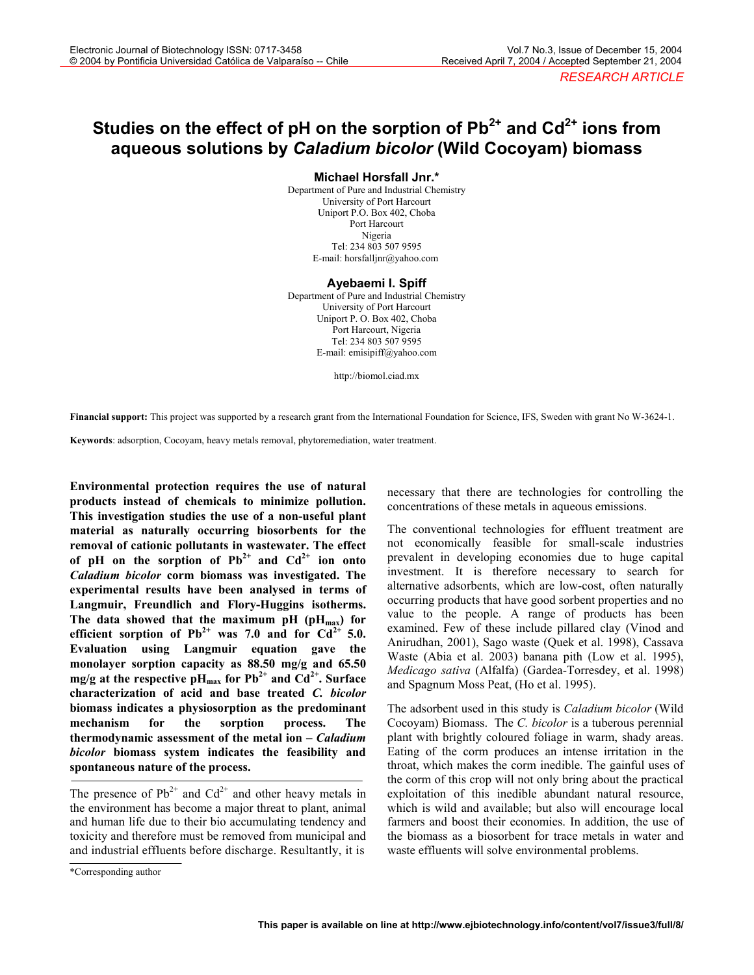# Studies on the effect of pH on the sorption of Pb<sup>2+</sup> and Cd<sup>2+</sup> ions from **aqueous solutions by** *Caladium bicolor* **(Wild Cocoyam) biomass**

**Michael Horsfall Jnr.\*** 

Department of Pure and Industrial Chemistry University of Port Harcourt Uniport P.O. Box 402, Choba Port Harcourt Nigeria Tel: 234 803 507 9595 E-mail: horsfalljnr@yahoo.com

#### **Ayebaemi I. Spiff**

Department of Pure and Industrial Chemistry University of Port Harcourt Uniport P. O. Box 402, Choba Port Harcourt, Nigeria Tel: 234 803 507 9595 E-mail: emisipiff@yahoo.com

http://biomol.ciad.mx

**Financial support:** This project was supported by a research grant from the International Foundation for Science, IFS, Sweden with grant No W-3624-1.

**Keywords**: adsorption, Cocoyam, heavy metals removal, phytoremediation, water treatment.

**Environmental protection requires the use of natural products instead of chemicals to minimize pollution. This investigation studies the use of a non-useful plant material as naturally occurring biosorbents for the removal of cationic pollutants in wastewater. The effect**  of pH on the sorption of  $Pb^{2+}$  and  $Cd^{2+}$  ion onto *Caladium bicolor* **corm biomass was investigated. The experimental results have been analysed in terms of Langmuir, Freundlich and Flory-Huggins isotherms.**  The data showed that the maximum pH  $(pH_{max})$  for efficient sorption of  $Pb^{2+}$  was 7.0 and for  $Cd^{2+}$  5.0. **Evaluation using Langmuir equation gave the monolayer sorption capacity as 88.50 mg/g and 65.50 mg/g at the respective pH**<sub>max</sub> for  $\text{Pb}^{2+}$  and  $\text{Cd}^{2+}$ . Surface **characterization of acid and base treated** *C. bicolor*  **biomass indicates a physiosorption as the predominant mechanism for the sorption process. The thermodynamic assessment of the metal ion –** *Caladium bicolor* **biomass system indicates the feasibility and spontaneous nature of the process.** 

The presence of  $Pb^{2+}$  and  $Cd^{2+}$  and other heavy metals in the environment has become a major threat to plant, animal and human life due to their bio accumulating tendency and toxicity and therefore must be removed from municipal and and industrial effluents before discharge. Resultantly, it is

The conventional technologies for effluent treatment are not economically feasible for small-scale industries prevalent in developing economies due to huge capital investment. It is therefore necessary to search for alternative adsorbents, which are low-cost, often naturally occurring products that have good sorbent properties and no value to the people. A range of products has been examined. Few of these include pillared clay (Vinod and Anirudhan, 2001), Sago waste (Quek et al. 1998), Cassava Waste (Abia et al. 2003) banana pith (Low et al. 1995), *Medicago sativa* (Alfalfa) (Gardea-Torresdey, et al. 1998) and Spagnum Moss Peat, (Ho et al. 1995).

The adsorbent used in this study is *Caladium bicolor* (Wild Cocoyam) Biomass. The *C. bicolor* is a tuberous perennial plant with brightly coloured foliage in warm, shady areas. Eating of the corm produces an intense irritation in the throat, which makes the corm inedible. The gainful uses of the corm of this crop will not only bring about the practical exploitation of this inedible abundant natural resource, which is wild and available; but also will encourage local farmers and boost their economies. In addition, the use of the biomass as a biosorbent for trace metals in water and waste effluents will solve environmental problems.

necessary that there are technologies for controlling the concentrations of these metals in aqueous emissions.

<sup>\*</sup>Corresponding author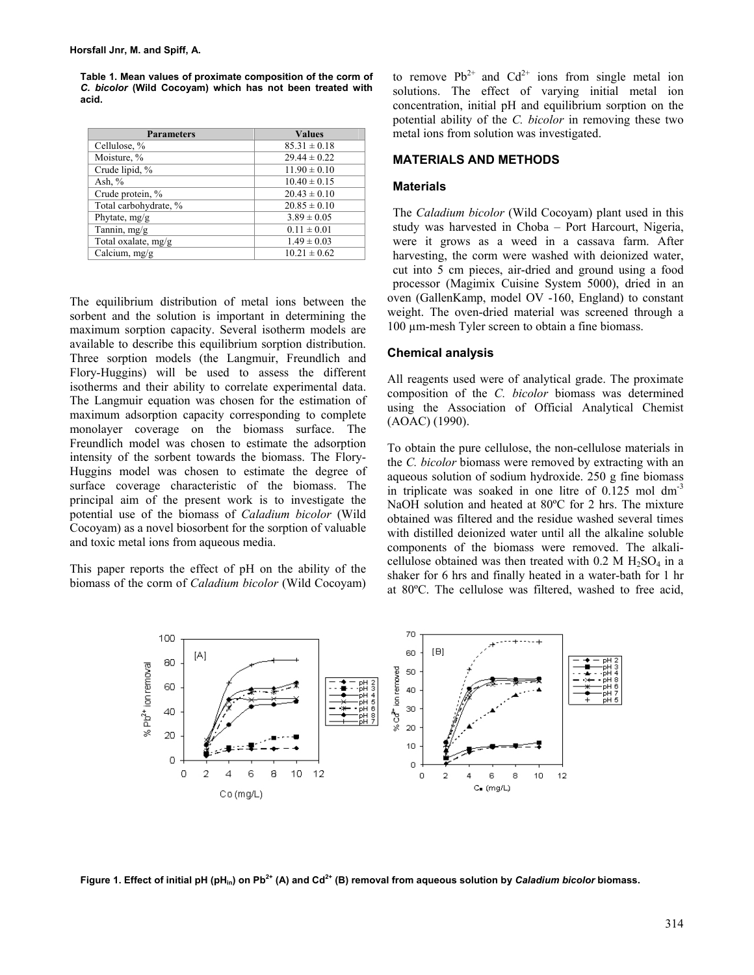**Table 1. Mean values of proximate composition of the corm of**  *C. bicolor* **(Wild Cocoyam) which has not been treated with acid.** 

| <b>Parameters</b>     | <b>Values</b>    |
|-----------------------|------------------|
| Cellulose, %          | $85.31 \pm 0.18$ |
| Moisture, %           | $29.44 \pm 0.22$ |
| Crude lipid, %        | $11.90 \pm 0.10$ |
| Ash, $%$              | $10.40 \pm 0.15$ |
| Crude protein, %      | $20.43 \pm 0.10$ |
| Total carbohydrate, % | $20.85 \pm 0.10$ |
| Phytate, mg/g         | $3.89 \pm 0.05$  |
| Tannin, mg/g          | $0.11 \pm 0.01$  |
| Total oxalate, mg/g   | $1.49 \pm 0.03$  |
| Calcium, mg/g         | $10.21 \pm 0.62$ |

The equilibrium distribution of metal ions between the sorbent and the solution is important in determining the maximum sorption capacity. Several isotherm models are available to describe this equilibrium sorption distribution. Three sorption models (the Langmuir, Freundlich and Flory-Huggins) will be used to assess the different isotherms and their ability to correlate experimental data. The Langmuir equation was chosen for the estimation of maximum adsorption capacity corresponding to complete monolayer coverage on the biomass surface. The Freundlich model was chosen to estimate the adsorption intensity of the sorbent towards the biomass. The Flory-Huggins model was chosen to estimate the degree of surface coverage characteristic of the biomass. The principal aim of the present work is to investigate the potential use of the biomass of *Caladium bicolor* (Wild Cocoyam) as a novel biosorbent for the sorption of valuable and toxic metal ions from aqueous media.

This paper reports the effect of pH on the ability of the biomass of the corm of *Caladium bicolor* (Wild Cocoyam) to remove  $Pb^{2+}$  and  $Cd^{2+}$  ions from single metal ion solutions. The effect of varying initial metal ion concentration, initial pH and equilibrium sorption on the potential ability of the *C. bicolor* in removing these two metal ions from solution was investigated.

### **MATERIALS AND METHODS**

## **Materials**

The *Caladium bicolor* (Wild Cocoyam) plant used in this study was harvested in Choba – Port Harcourt, Nigeria, were it grows as a weed in a cassava farm. After harvesting, the corm were washed with deionized water, cut into 5 cm pieces, air-dried and ground using a food processor (Magimix Cuisine System 5000), dried in an oven (GallenKamp, model OV -160, England) to constant weight. The oven-dried material was screened through a 100 µm-mesh Tyler screen to obtain a fine biomass.

## **Chemical analysis**

All reagents used were of analytical grade. The proximate composition of the *C. bicolor* biomass was determined using the Association of Official Analytical Chemist (AOAC) (1990).

To obtain the pure cellulose, the non-cellulose materials in the *C. bicolor* biomass were removed by extracting with an aqueous solution of sodium hydroxide. 250 g fine biomass in triplicate was soaked in one litre of  $0.125$  mol dm<sup>-3</sup> NaOH solution and heated at 80<sup>o</sup>C for 2 hrs. The mixture obtained was filtered and the residue washed several times with distilled deionized water until all the alkaline soluble components of the biomass were removed. The alkalicellulose obtained was then treated with  $0.2$  M  $H_2SO_4$  in a shaker for 6 hrs and finally heated in a water-bath for 1 hr at 80ºC. The cellulose was filtered, washed to free acid,



Figure 1. Effect of initial pH (pH<sub>in</sub>) on Pb<sup>2+</sup> (A) and Cd<sup>2+</sup> (B) removal from aqueous solution by *Caladium bicolor* biomass.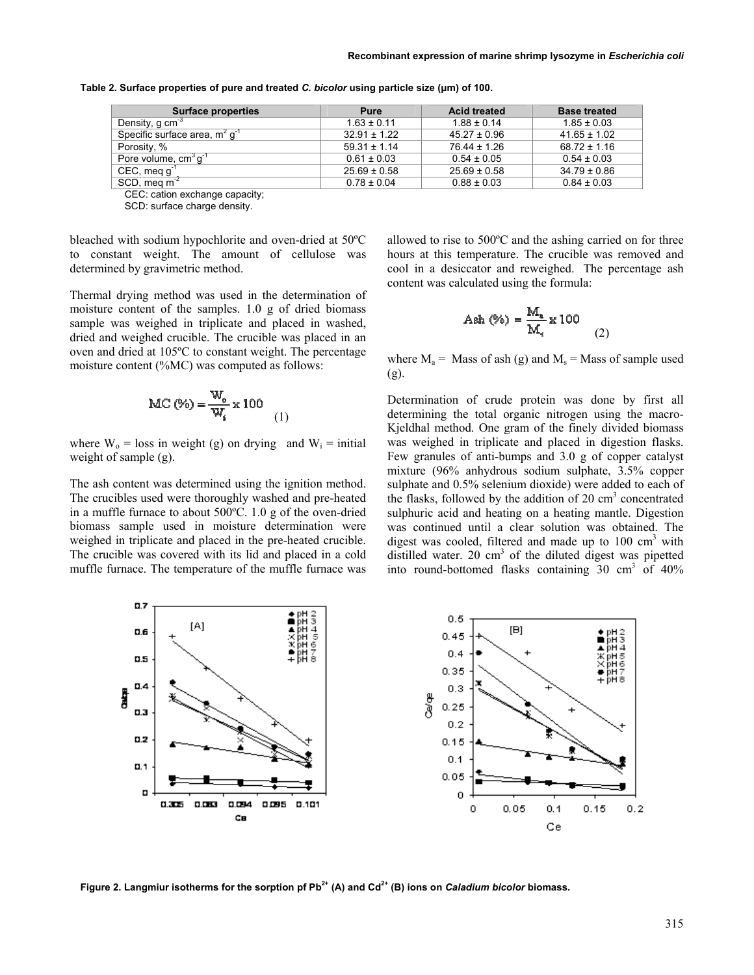| <b>Surface properties</b>           | Pure             | <b>Acid treated</b> | <b>Base treated</b> |
|-------------------------------------|------------------|---------------------|---------------------|
| Density, g cm <sup>-3</sup>         | $1.63 \pm 0.11$  | $1.88 \pm 0.14$     | $1.85 \pm 0.03$     |
| Specific surface area, $m^2 q^{-1}$ | $32.91 \pm 1.22$ | $45.27 \pm 0.96$    | $41.65 \pm 1.02$    |
| Porosity, %                         | $59.31 \pm 1.14$ | $76.44 \pm 1.26$    | $68.72 \pm 1.16$    |
| Pore volume, $cm^3g^1$              | $0.61 \pm 0.03$  | $0.54 \pm 0.05$     | $0.54 \pm 0.03$     |
| $CEC$ , meg g <sup>-1</sup>         | $25.69 \pm 0.58$ | $25.69 \pm 0.58$    | $34.79 \pm 0.86$    |
| SCD, meg $m^2$                      | $0.78 \pm 0.04$  | $0.88 \pm 0.03$     | $0.84 \pm 0.03$     |

**Table 2. Surface properties of pure and treated** *C. bicolor* **using particle size (µm) of 100.** 

CEC: cation exchange capacity;

SCD: surface charge density.

bleached with sodium hypochlorite and oven-dried at 50ºC to constant weight. The amount of cellulose was determined by gravimetric method.

Thermal drying method was used in the determination of moisture content of the samples. 1.0 g of dried biomass sample was weighed in triplicate and placed in washed, dried and weighed crucible. The crucible was placed in an oven and dried at 105ºC to constant weight. The percentage moisture content (%MC) was computed as follows:

$$
\text{MC}(\%) = \frac{\text{W}_o}{\text{W}_i} \times 100
$$
 (1)

where  $W_0$  = loss in weight (g) on drying and  $W_i$  = initial weight of sample (g).

The ash content was determined using the ignition method. The crucibles used were thoroughly washed and pre-heated in a muffle furnace to about 500ºC. 1.0 g of the oven-dried biomass sample used in moisture determination were weighed in triplicate and placed in the pre-heated crucible. The crucible was covered with its lid and placed in a cold muffle furnace. The temperature of the muffle furnace was allowed to rise to 500ºC and the ashing carried on for three hours at this temperature. The crucible was removed and cool in a desiccator and reweighed. The percentage ash content was calculated using the formula:

$$
A \sin(\%) = \frac{M_a}{M_4} \times 100
$$
 (2)

where  $M_a$  = Mass of ash (g) and  $M_s$  = Mass of sample used (g).

Determination of crude protein was done by first all determining the total organic nitrogen using the macro-Kjeldhal method. One gram of the finely divided biomass was weighed in triplicate and placed in digestion flasks. Few granules of anti-bumps and 3.0 g of copper catalyst mixture (96% anhydrous sodium sulphate, 3.5% copper sulphate and 0.5% selenium dioxide) were added to each of the flasks, followed by the addition of 20 cm<sup>3</sup> concentrated sulphuric acid and heating on a heating mantle. Digestion was continued until a clear solution was obtained. The digest was cooled, filtered and made up to  $100 \text{ cm}^3$  with distilled water. 20  $\text{cm}^3$  of the diluted digest was pipetted into round-bottomed flasks containing  $30 \text{ cm}^3$  of  $40\%$ 



Figure 2. Langmiur isotherms for the sorption pf Pb<sup>2+</sup> (A) and Cd<sup>2+</sup> (B) ions on *Caladium bicolor* biomass.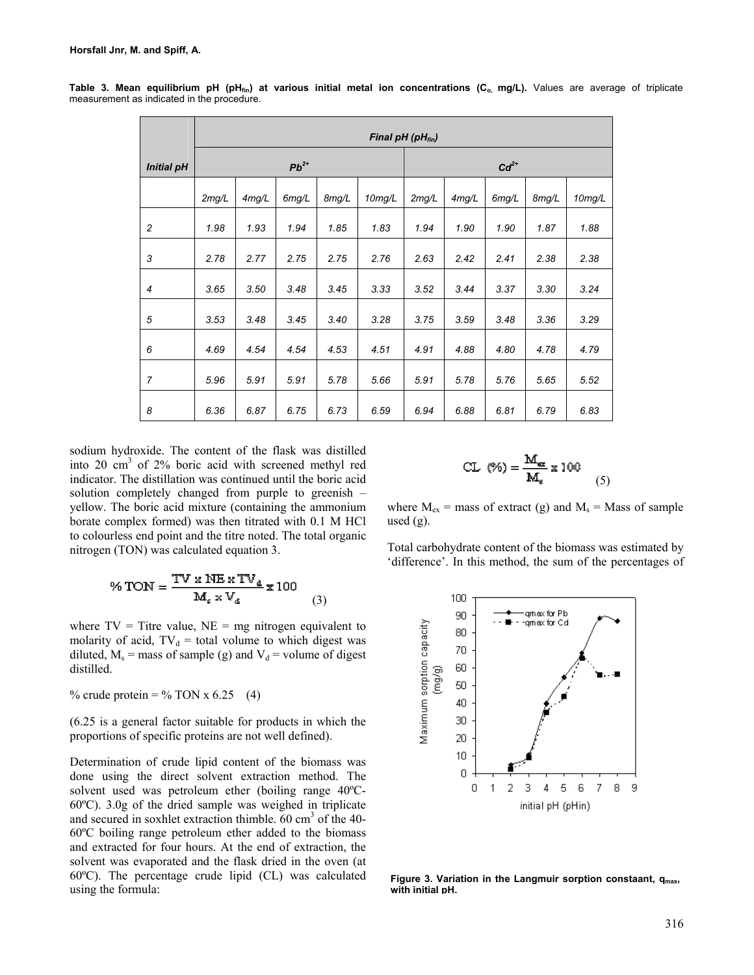|                   | Final pH (pH <sub>fin</sub> ) |       |       |       |                     |        |       |       |       |           |
|-------------------|-------------------------------|-------|-------|-------|---------------------|--------|-------|-------|-------|-----------|
| <b>Initial pH</b> | $Pb^{2+}$                     |       |       |       |                     | $Cd2+$ |       |       |       |           |
|                   | 2mg/L                         | 4mg/L | 6mg/L | 8mg/L | 10 <sub>mg</sub> /L | 2mg/L  | 4mg/L | 6mg/L | 8mg/L | $10$ mg/L |
| $\overline{c}$    | 1.98                          | 1.93  | 1.94  | 1.85  | 1.83                | 1.94   | 1.90  | 1.90  | 1.87  | 1.88      |
| 3                 | 2.78                          | 2.77  | 2.75  | 2.75  | 2.76                | 2.63   | 2.42  | 2.41  | 2.38  | 2.38      |
| $\overline{4}$    | 3.65                          | 3.50  | 3.48  | 3.45  | 3.33                | 3.52   | 3.44  | 3.37  | 3.30  | 3.24      |
| 5                 | 3.53                          | 3.48  | 3.45  | 3.40  | 3.28                | 3.75   | 3.59  | 3.48  | 3.36  | 3.29      |
| 6                 | 4.69                          | 4.54  | 4.54  | 4.53  | 4.51                | 4.91   | 4.88  | 4.80  | 4.78  | 4.79      |
| 7                 | 5.96                          | 5.91  | 5.91  | 5.78  | 5.66                | 5.91   | 5.78  | 5.76  | 5.65  | 5.52      |
| 8                 | 6.36                          | 6.87  | 6.75  | 6.73  | 6.59                | 6.94   | 6.88  | 6.81  | 6.79  | 6.83      |

Table 3. Mean equilibrium pH (pH<sub>fin</sub>) at various initial metal ion concentrations (C<sub>o,</sub> mg/L). Values are average of triplicate measurement as indicated in the procedure.

sodium hydroxide. The content of the flask was distilled into 20 cm3 of 2% boric acid with screened methyl red indicator. The distillation was continued until the boric acid solution completely changed from purple to greenish – yellow. The boric acid mixture (containing the ammonium borate complex formed) was then titrated with 0.1 M HCl to colourless end point and the titre noted. The total organic nitrogen (TON) was calculated equation 3.

$$
\% \text{TON} = \frac{\text{TV} \times \text{NE} \times \text{TV}_{\text{d}}}{\text{M}_{\epsilon} \times \text{V}_{\text{d}}} \times 100 \tag{3}
$$

where  $TV =$  Titre value,  $NE = mg$  nitrogen equivalent to molarity of acid,  $TV_d$  = total volume to which digest was diluted,  $M_s$  = mass of sample (g) and  $V_d$  = volume of digest distilled.

% crude protein = % TON x 6.25 (4)

(6.25 is a general factor suitable for products in which the proportions of specific proteins are not well defined).

Determination of crude lipid content of the biomass was done using the direct solvent extraction method. The solvent used was petroleum ether (boiling range 40ºC-60ºC). 3.0g of the dried sample was weighed in triplicate and secured in soxhlet extraction thimble. 60 cm<sup>3</sup> of the 40-60ºC boiling range petroleum ether added to the biomass and extracted for four hours. At the end of extraction, the solvent was evaporated and the flask dried in the oven (at 60ºC). The percentage crude lipid (CL) was calculated using the formula:

$$
CL (\%) = \frac{M_{ex}}{M_s} \times 100
$$
 (5)

where  $M_{ex}$  = mass of extract (g) and  $M_s$  = Mass of sample used  $(g)$ .

Total carbohydrate content of the biomass was estimated by 'difference'. In this method, the sum of the percentages of



Figure 3. Variation in the Langmuir sorption constaant, q<sub>max</sub>, **with initial pH.**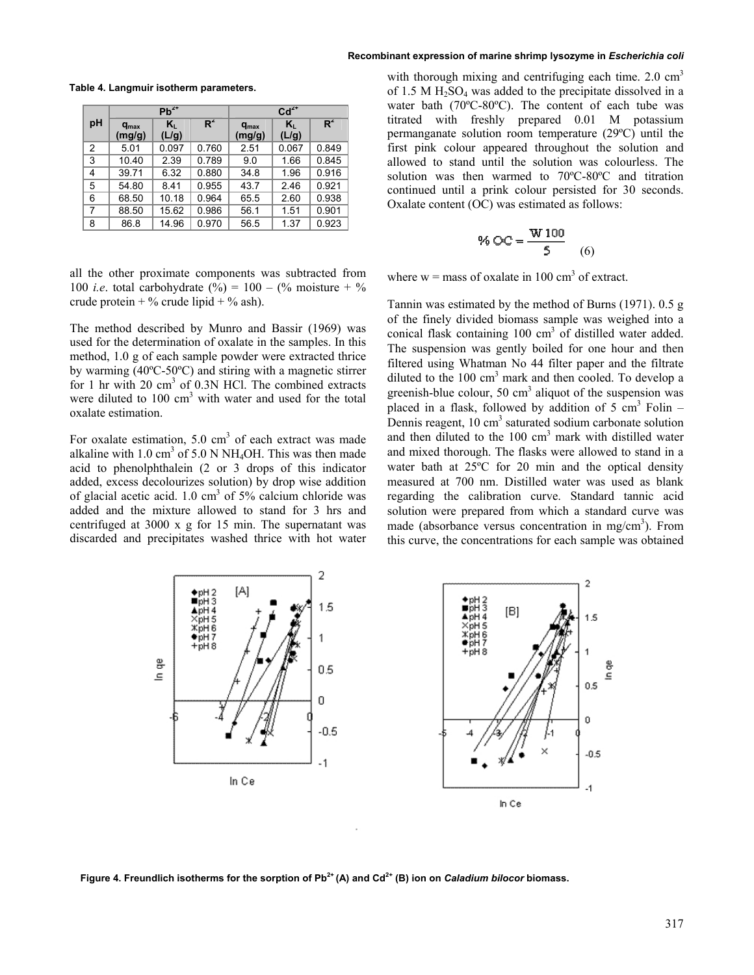|    |                            | $Pb^{2+}$   |       | $Cd2+$              |             |       |  |
|----|----------------------------|-------------|-------|---------------------|-------------|-------|--|
| pH | $q_{\text{max}}$<br>(mg/g) | K,<br>(L/g) | $R^2$ | $q_{max}$<br>(mg/g) | K,<br>(L/g) | $R^2$ |  |
| 2  | 5.01                       | 0.097       | 0.760 | 2.51                | 0.067       | 0.849 |  |
| 3  | 10.40                      | 2.39        | 0.789 | 9.0                 | 1.66        | 0.845 |  |
| 4  | 39.71                      | 6.32        | 0.880 | 34.8                | 1.96        | 0.916 |  |
| 5  | 54.80                      | 8.41        | 0.955 | 43.7                | 2.46        | 0.921 |  |
| 6  | 68.50                      | 10.18       | 0.964 | 65.5                | 2.60        | 0.938 |  |
| 7  | 88.50                      | 15.62       | 0.986 | 56.1                | 1.51        | 0.901 |  |
| 8  | 86.8                       | 14.96       | 0.970 | 56.5                | 1.37        | 0.923 |  |

**Table 4. Langmuir isotherm parameters.** 

all the other proximate components was subtracted from 100 *i.e.* total carbohydrate  $\binom{9}{0}$  = 100 –  $\binom{9}{0}$  moisture +  $\frac{9}{0}$ crude protein  $+$  % crude lipid  $+$  % ash).

The method described by Munro and Bassir (1969) was used for the determination of oxalate in the samples. In this method, 1.0 g of each sample powder were extracted thrice by warming (40ºC-50ºC) and stiring with a magnetic stirrer for 1 hr with 20 cm<sup>3</sup> of 0.3N HCl. The combined extracts were diluted to  $100 \text{ cm}^3$  with water and used for the total oxalate estimation.

For oxalate estimation,  $5.0 \text{ cm}^3$  of each extract was made alkaline with  $1.0 \text{ cm}^3$  of  $5.0 \text{ N} \text{ NH}_4\text{OH}$ . This was then made acid to phenolphthalein (2 or 3 drops of this indicator added, excess decolourizes solution) by drop wise addition of glacial acetic acid. 1.0 cm<sup>3</sup> of 5% calcium chloride was added and the mixture allowed to stand for 3 hrs and centrifuged at 3000 x g for 15 min. The supernatant was discarded and precipitates washed thrice with hot water

with thorough mixing and centrifuging each time.  $2.0 \text{ cm}^3$ of 1.5 M  $H_2SO_4$  was added to the precipitate dissolved in a water bath (70ºC-80ºC). The content of each tube was titrated with freshly prepared 0.01 M potassium permanganate solution room temperature (29ºC) until the first pink colour appeared throughout the solution and allowed to stand until the solution was colourless. The solution was then warmed to 70ºC-80ºC and titration continued until a prink colour persisted for 30 seconds. Oxalate content (OC) was estimated as follows:

% OC = 
$$
\frac{W100}{5}
$$
 (6)

where  $w =$  mass of oxalate in 100 cm<sup>3</sup> of extract.

Tannin was estimated by the method of Burns (1971). 0.5 g of the finely divided biomass sample was weighed into a conical flask containing  $100 \text{ cm}^3$  of distilled water added. The suspension was gently boiled for one hour and then filtered using Whatman No 44 filter paper and the filtrate diluted to the 100 cm<sup>3</sup> mark and then cooled. To develop a greenish-blue colour, 50  $\text{cm}^3$  aliquot of the suspension was placed in a flask, followed by addition of  $5 \text{ cm}^3$  Folin  $-$ Dennis reagent, 10 cm<sup>3</sup> saturated sodium carbonate solution and then diluted to the  $100 \text{ cm}^3$  mark with distilled water and mixed thorough. The flasks were allowed to stand in a water bath at 25ºC for 20 min and the optical density measured at 700 nm. Distilled water was used as blank regarding the calibration curve. Standard tannic acid solution were prepared from which a standard curve was made (absorbance versus concentration in mg/cm<sup>3</sup>). From this curve, the concentrations for each sample was obtained



Figure 4. Freundlich isotherms for the sorption of Pb<sup>2+</sup> (A) and Cd<sup>2+</sup> (B) ion on *Caladium bilocor* biomass.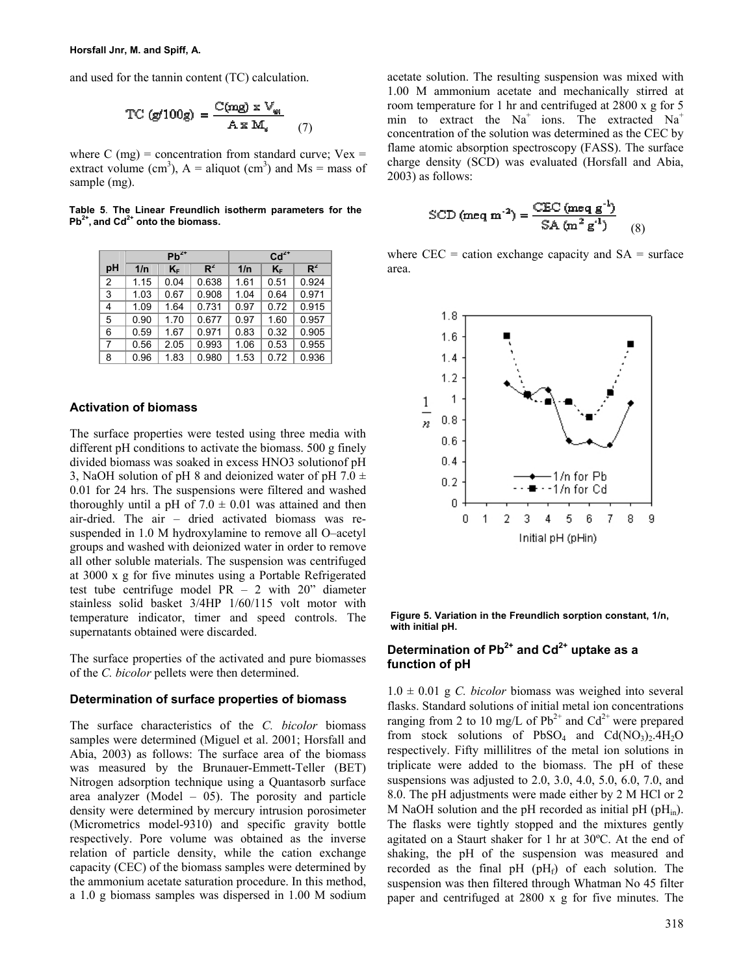and used for the tannin content (TC) calculation.

$$
TC (g/100g) = \frac{C(mg) \times V_{\omega i}}{A \times M_i}
$$
 (7)

where C (mg) = concentration from standard curve;  $Vex =$ extract volume (cm<sup>3</sup>),  $A =$  aliquot (cm<sup>3</sup>) and Ms = mass of sample (mg).

**Table 5**. **The Linear Freundlich isotherm parameters for the Pb2+, and Cd2+ onto the biomass.** 

|                |      | $Pb^{2+}$ |       | $Cd2+$ |       |       |  |
|----------------|------|-----------|-------|--------|-------|-------|--|
| pH             | 1/n  | $K_F$     | $R^2$ | 1/n    | $K_F$ | $R^2$ |  |
| $\overline{2}$ | 1.15 | 0.04      | 0.638 | 1.61   | 0.51  | 0.924 |  |
| 3              | 1.03 | 0.67      | 0.908 | 1.04   | 0.64  | 0.971 |  |
| 4              | 1.09 | 1.64      | 0.731 | 0.97   | 0.72  | 0.915 |  |
| 5              | 0.90 | 1.70      | 0.677 | 0.97   | 1.60  | 0.957 |  |
| 6              | 0.59 | 1.67      | 0.971 | 0.83   | 0.32  | 0.905 |  |
| 7              | 0.56 | 2.05      | 0.993 | 1.06   | 0.53  | 0.955 |  |
| 8              | 0.96 | 1.83      | 0.980 | 1.53   | 0.72  | 0.936 |  |

## **Activation of biomass**

The surface properties were tested using three media with different pH conditions to activate the biomass. 500 g finely divided biomass was soaked in excess HNO3 solutionof pH 3, NaOH solution of pH 8 and deionized water of pH 7.0  $\pm$ 0.01 for 24 hrs. The suspensions were filtered and washed thoroughly until a pH of  $7.0 \pm 0.01$  was attained and then air-dried. The air – dried activated biomass was resuspended in 1.0 M hydroxylamine to remove all O–acetyl groups and washed with deionized water in order to remove all other soluble materials. The suspension was centrifuged at 3000 x g for five minutes using a Portable Refrigerated test tube centrifuge model  $PR - 2$  with  $20$ " diameter stainless solid basket 3/4HP 1/60/115 volt motor with temperature indicator, timer and speed controls. The supernatants obtained were discarded.

The surface properties of the activated and pure biomasses of the *C. bicolor* pellets were then determined.

### **Determination of surface properties of biomass**

The surface characteristics of the *C. bicolor* biomass samples were determined (Miguel et al. 2001; Horsfall and Abia, 2003) as follows: The surface area of the biomass was measured by the Brunauer-Emmett-Teller (BET) Nitrogen adsorption technique using a Quantasorb surface area analyzer (Model  $-$  05). The porosity and particle density were determined by mercury intrusion porosimeter (Micrometrics model-9310) and specific gravity bottle respectively. Pore volume was obtained as the inverse relation of particle density, while the cation exchange capacity (CEC) of the biomass samples were determined by the ammonium acetate saturation procedure. In this method, a 1.0 g biomass samples was dispersed in 1.00 M sodium

acetate solution. The resulting suspension was mixed with 1.00 M ammonium acetate and mechanically stirred at room temperature for 1 hr and centrifuged at 2800 x g for 5 min to extract the  $Na<sup>+</sup>$  ions. The extracted  $Na<sup>+</sup>$ concentration of the solution was determined as the CEC by flame atomic absorption spectroscopy (FASS). The surface charge density (SCD) was evaluated (Horsfall and Abia, 2003) as follows:

$$
\text{SCD (meq m}^{-2}) = \frac{\text{CEC (meq g}^{-1})}{\text{SA (m}^2 g^{-1})}
$$
 (8)

where  $CEC =$  cation exchange capacity and  $SA =$  surface area.



**Figure 5. Variation in the Freundlich sorption constant, 1/n, with initial pH.**

## Determination of Pb<sup>2+</sup> and Cd<sup>2+</sup> uptake as a **function of pH**

 $1.0 \pm 0.01$  g *C. bicolor* biomass was weighed into several flasks. Standard solutions of initial metal ion concentrations ranging from 2 to 10 mg/L of  $Pb^{2+}$  and  $Cd^{2+}$  were prepared from stock solutions of  $PbSO_4$  and  $Cd(NO_3)_2.4H_2O$ respectively. Fifty millilitres of the metal ion solutions in triplicate were added to the biomass. The pH of these suspensions was adjusted to  $2.0, 3.0, 4.0, 5.0, 6.0, 7.0,$  and 8.0. The pH adjustments were made either by 2 M HCl or 2 M NaOH solution and the pH recorded as initial pH ( $pH_{in}$ ). The flasks were tightly stopped and the mixtures gently agitated on a Staurt shaker for 1 hr at 30ºC. At the end of shaking, the pH of the suspension was measured and recorded as the final  $pH(pH_f)$  of each solution. The suspension was then filtered through Whatman No 45 filter paper and centrifuged at 2800 x g for five minutes. The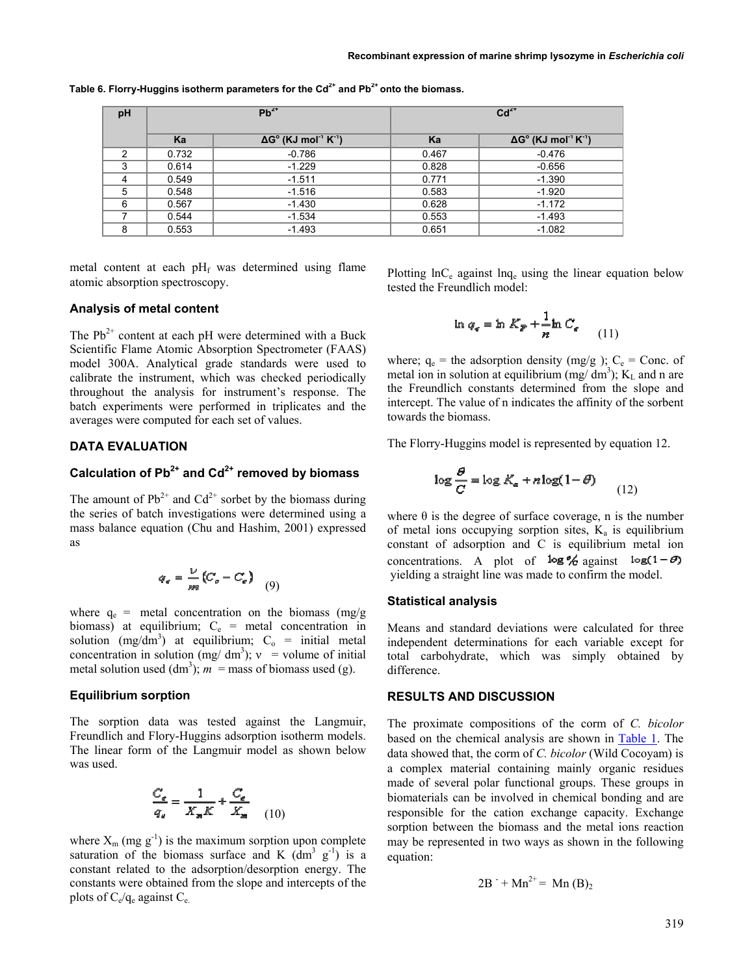| pH |       | $Pb^{2+}$                                                  | $Cd2+$ |                                                            |  |
|----|-------|------------------------------------------------------------|--------|------------------------------------------------------------|--|
|    | Ka    | $\Delta G^{\circ}$ (KJ mol <sup>-1</sup> K <sup>-1</sup> ) | Ka     | $\Delta G^{\circ}$ (KJ mol <sup>-1</sup> K <sup>-1</sup> ) |  |
| 2  | 0.732 | $-0.786$                                                   | 0.467  | $-0.476$                                                   |  |
| 3  | 0.614 | $-1.229$                                                   | 0.828  | $-0.656$                                                   |  |
| 4  | 0.549 | $-1.511$                                                   | 0.771  | $-1.390$                                                   |  |
| 5  | 0.548 | $-1.516$                                                   | 0.583  | $-1.920$                                                   |  |
| 6  | 0.567 | $-1.430$                                                   | 0.628  | $-1.172$                                                   |  |
|    | 0.544 | $-1.534$                                                   | 0.553  | $-1.493$                                                   |  |
| 8  | 0.553 | $-1.493$                                                   | 0.651  | $-1.082$                                                   |  |

Table 6. Florry-Huggins isotherm parameters for the Cd<sup>2+</sup> and Pb<sup>2+</sup> onto the biomass.

metal content at each  $pH_f$  was determined using flame atomic absorption spectroscopy.

### **Analysis of metal content**

The  $Pb^{2+}$  content at each pH were determined with a Buck Scientific Flame Atomic Absorption Spectrometer (FAAS) model 300A. Analytical grade standards were used to calibrate the instrument, which was checked periodically throughout the analysis for instrument's response. The batch experiments were performed in triplicates and the averages were computed for each set of values.

# **DATA EVALUATION**

# **Calculation of Pb2+ and Cd2+ removed by biomass**

The amount of  $Pb^{2+}$  and  $Cd^{2+}$  sorbet by the biomass during the series of batch investigations were determined using a mass balance equation (Chu and Hashim, 2001) expressed as

$$
q_{\epsilon} = \frac{V}{m} \left( C_{\rho} - C_{\epsilon} \right) \tag{9}
$$

where  $q_e$  = metal concentration on the biomass (mg/g biomass) at equilibrium;  $C_e$  = metal concentration in solution  $(mg/dm^3)$  at equilibrium;  $C_0$  = initial metal concentration in solution (mg/ dm<sup>3</sup>);  $v =$  volume of initial metal solution used  $(dm<sup>3</sup>)$ ;  $m =$  mass of biomass used (g).

### **Equilibrium sorption**

The sorption data was tested against the Langmuir, Freundlich and Flory-Huggins adsorption isotherm models. The linear form of the Langmuir model as shown below was used.

$$
\frac{C_g}{q_e} = \frac{1}{X_m K} + \frac{C_g}{X_m} \tag{10}
$$

where  $X_m$  (mg  $g^{-1}$ ) is the maximum sorption upon complete saturation of the biomass surface and K  $(dm^3 g^1)$  is a constant related to the adsorption/desorption energy. The constants were obtained from the slope and intercepts of the plots of  $C_e/q_e$  against  $C_e$ .

Plotting  $\ln C_e$  against  $\ln q_e$  using the linear equation below tested the Freundlich model:

$$
\ln q_e = \ln K_p + \frac{1}{n} \ln C_e \qquad (1
$$

(11)

where;  $q_e$  = the adsorption density (mg/g );  $C_e$  = Conc. of metal ion in solution at equilibrium (mg/ $dm^3$ );  $K<sub>L</sub>$  and n are the Freundlich constants determined from the slope and intercept. The value of n indicates the affinity of the sorbent towards the biomass.

The Florry-Huggins model is represented by equation 12.

$$
\log \frac{\theta}{C} = \log K_a + n \log(1 - \theta)
$$
 (12)

where  $\theta$  is the degree of surface coverage, n is the number of metal ions occupying sorption sites,  $K_a$  is equilibrium constant of adsorption and C is equilibrium metal ion concentrations. A plot of  $\log \frac{\theta}{C}$  against  $\log(1-\theta)$ yielding a straight line was made to confirm the model.

## **Statistical analysis**

Means and standard deviations were calculated for three independent determinations for each variable except for total carbohydrate, which was simply obtained by difference.

## **RESULTS AND DISCUSSION**

The proximate compositions of the corm of *C. bicolor* based on the chemical analysis are shown in Table 1. The data showed that, the corm of *C. bicolor* (Wild Cocoyam) is a complex material containing mainly organic residues made of several polar functional groups. These groups in biomaterials can be involved in chemical bonding and are responsible for the cation exchange capacity. Exchange sorption between the biomass and the metal ions reaction may be represented in two ways as shown in the following equation:

$$
2B^{-} + Mn^{2+} = Mn (B)2
$$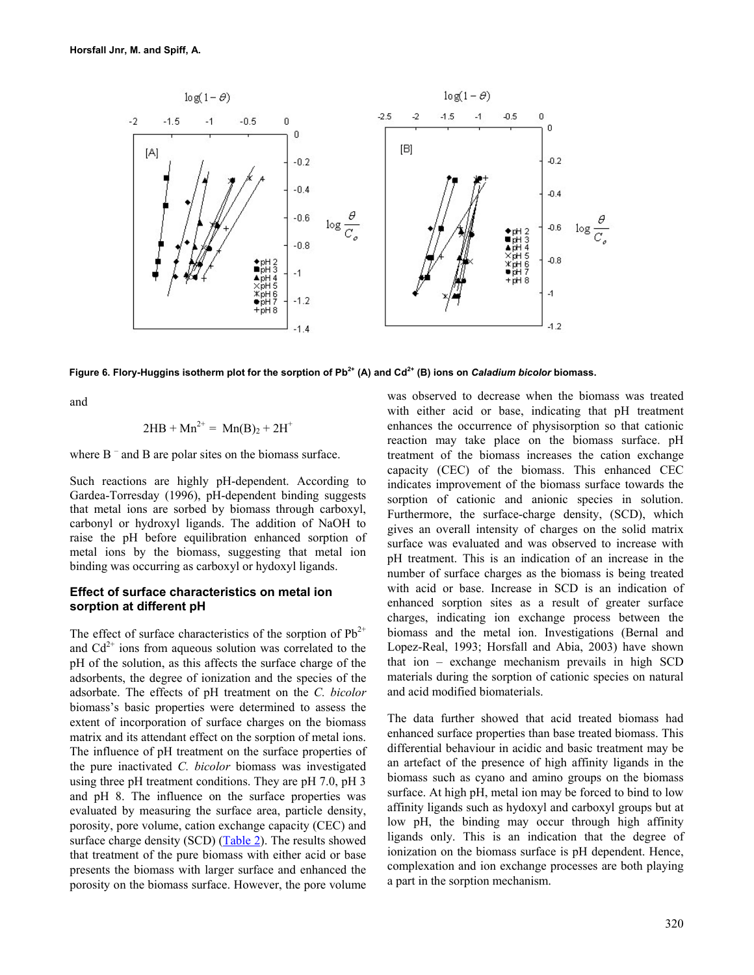

Figure 6. Flory-Huggins isotherm plot for the sorption of Pb<sup>2+</sup> (A) and Cd<sup>2+</sup> (B) ions on *Caladium bicolor* biomass.

and

$$
2HB + Mn^{2+} = Mn(B)_2 + 2H^+
$$

where  $B^-$  and  $B$  are polar sites on the biomass surface.

Such reactions are highly pH-dependent. According to Gardea-Torresday (1996), pH-dependent binding suggests that metal ions are sorbed by biomass through carboxyl, carbonyl or hydroxyl ligands. The addition of NaOH to raise the pH before equilibration enhanced sorption of metal ions by the biomass, suggesting that metal ion binding was occurring as carboxyl or hydoxyl ligands.

## **Effect of surface characteristics on metal ion sorption at different pH**

The effect of surface characteristics of the sorption of  $Pb^{2+}$ and  $Cd^{2+}$  ions from aqueous solution was correlated to the pH of the solution, as this affects the surface charge of the adsorbents, the degree of ionization and the species of the adsorbate. The effects of pH treatment on the *C. bicolor* biomass's basic properties were determined to assess the extent of incorporation of surface charges on the biomass matrix and its attendant effect on the sorption of metal ions. The influence of pH treatment on the surface properties of the pure inactivated *C. bicolor* biomass was investigated using three pH treatment conditions. They are pH 7.0, pH 3 and pH 8. The influence on the surface properties was evaluated by measuring the surface area, particle density, porosity, pore volume, cation exchange capacity (CEC) and surface charge density (SCD) (Table 2). The results showed that treatment of the pure biomass with either acid or base presents the biomass with larger surface and enhanced the porosity on the biomass surface. However, the pore volume

was observed to decrease when the biomass was treated with either acid or base, indicating that pH treatment enhances the occurrence of physisorption so that cationic reaction may take place on the biomass surface. pH treatment of the biomass increases the cation exchange capacity (CEC) of the biomass. This enhanced CEC indicates improvement of the biomass surface towards the sorption of cationic and anionic species in solution. Furthermore, the surface-charge density, (SCD), which gives an overall intensity of charges on the solid matrix surface was evaluated and was observed to increase with pH treatment. This is an indication of an increase in the number of surface charges as the biomass is being treated with acid or base. Increase in SCD is an indication of enhanced sorption sites as a result of greater surface charges, indicating ion exchange process between the biomass and the metal ion. Investigations (Bernal and Lopez-Real, 1993; Horsfall and Abia, 2003) have shown that ion – exchange mechanism prevails in high SCD materials during the sorption of cationic species on natural and acid modified biomaterials.

The data further showed that acid treated biomass had enhanced surface properties than base treated biomass. This differential behaviour in acidic and basic treatment may be an artefact of the presence of high affinity ligands in the biomass such as cyano and amino groups on the biomass surface. At high pH, metal ion may be forced to bind to low affinity ligands such as hydoxyl and carboxyl groups but at low pH, the binding may occur through high affinity ligands only. This is an indication that the degree of ionization on the biomass surface is pH dependent. Hence, complexation and ion exchange processes are both playing a part in the sorption mechanism.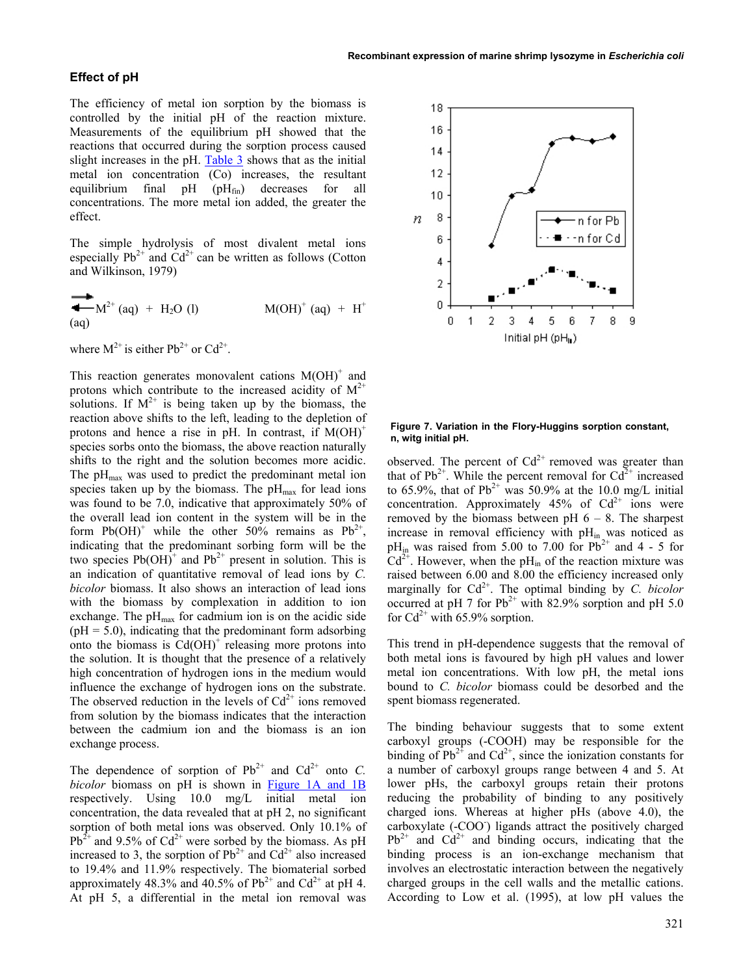### **Effect of pH**

The efficiency of metal ion sorption by the biomass is controlled by the initial pH of the reaction mixture. Measurements of the equilibrium pH showed that the reactions that occurred during the sorption process caused slight increases in the pH. Table 3 shows that as the initial metal ion concentration (Co) increases, the resultant equilibrium final  $pH(pH_{fin})$  decreases for all concentrations. The more metal ion added, the greater the effect.

The simple hydrolysis of most divalent metal ions especially  $Pb^{2+}$  and  $Cd^{2+}$  can be written as follows (Cotton and Wilkinson, 1979)

$$
M(OH)^{+} (aq) + H2O (l)
$$
  $M(OH)^{+} (aq) + H^{+}$ 

where  $M^{2+}$  is either Pb<sup>2+</sup> or  $Cd^{2+}$ .

This reaction generates monovalent cations  $M(OH)^+$  and protons which contribute to the increased acidity of  $M^{2+}$ solutions. If  $M^{2+}$  is being taken up by the biomass, the reaction above shifts to the left, leading to the depletion of protons and hence a rise in pH. In contrast, if  $M(OH)^+$ species sorbs onto the biomass, the above reaction naturally shifts to the right and the solution becomes more acidic. The  $pH_{\text{max}}$  was used to predict the predominant metal ion species taken up by the biomass. The  $pH_{\text{max}}$  for lead ions was found to be 7.0, indicative that approximately 50% of the overall lead ion content in the system will be in the form  $Pb(OH)^+$  while the other 50% remains as  $Pb^{2+}$ , indicating that the predominant sorbing form will be the two species  $Pb(OH)^{+}$  and  $Pb^{2+}$  present in solution. This is an indication of quantitative removal of lead ions by *C. bicolor* biomass. It also shows an interaction of lead ions with the biomass by complexation in addition to ion exchange. The  $pH_{\text{max}}$  for cadmium ion is on the acidic side  $(pH = 5.0)$ , indicating that the predominant form adsorbing onto the biomass is  $Cd(OH)^+$  releasing more protons into the solution. It is thought that the presence of a relatively high concentration of hydrogen ions in the medium would influence the exchange of hydrogen ions on the substrate. The observed reduction in the levels of  $Cd^{2+}$  ions removed from solution by the biomass indicates that the interaction between the cadmium ion and the biomass is an ion exchange process.

The dependence of sorption of  $Pb^{2+}$  and  $Cd^{2+}$  onto *C*. *bicolor* biomass on pH is shown in Figure 1A and 1B respectively. Using 10.0 mg/L initial metal ion concentration, the data revealed that at pH 2, no significant sorption of both metal ions was observed. Only 10.1% of  $Pb^{2+}$  and 9.5% of Cd<sup>2+</sup> were sorbed by the biomass. As pH increased to 3, the sorption of  $Pb^{2+}$  and  $Cd^{2+}$  also increased to 19.4% and 11.9% respectively. The biomaterial sorbed approximately 48.3% and 40.5% of  $Pb^{2+}$  and  $Cd^{2+}$  at pH 4. At pH 5, a differential in the metal ion removal was



#### **Figure 7. Variation in the Flory-Huggins sorption constant, n, witg initial pH.**

observed. The percent of  $Cd^{2+}$  removed was greater than that of  $Pb^{2+}$ . While the percent removal for  $Cd^{2+}$  increased to 65.9%, that of Pb<sup>2+</sup> was 50.9% at the 10.0 mg/L initial concentration. Approximately  $45\%$  of  $Cd^{2+}$  ions were removed by the biomass between pH  $6 - 8$ . The sharpest increase in removal efficiency with  $pH_{in}$  was noticed as  $pH_{in}$  was raised from 5.00 to 7.00 for Pb<sup>2+</sup> and 4 - 5 for  $Cd^{2+}$ . However, when the pH<sub>in</sub> of the reaction mixture was raised between 6.00 and 8.00 the efficiency increased only marginally for  $Cd^{2+}$ . The optimal binding by *C. bicolor* occurred at pH 7 for  $Pb^{2+}$  with 82.9% sorption and pH 5.0 for  $Cd^{2+}$  with 65.9% sorption.

This trend in pH-dependence suggests that the removal of both metal ions is favoured by high pH values and lower metal ion concentrations. With low pH, the metal ions bound to *C. bicolor* biomass could be desorbed and the spent biomass regenerated.

The binding behaviour suggests that to some extent carboxyl groups (-COOH) may be responsible for the binding of  $Pb^{2+}$  and  $Cd^{2+}$ , since the ionization constants for a number of carboxyl groups range between 4 and 5. At lower pHs, the carboxyl groups retain their protons reducing the probability of binding to any positively charged ions. Whereas at higher pHs (above 4.0), the carboxylate (-COO- ) ligands attract the positively charged  $Pb^{2+}$  and  $Cd^{2+}$  and binding occurs, indicating that the binding process is an ion-exchange mechanism that involves an electrostatic interaction between the negatively charged groups in the cell walls and the metallic cations. According to Low et al. (1995), at low pH values the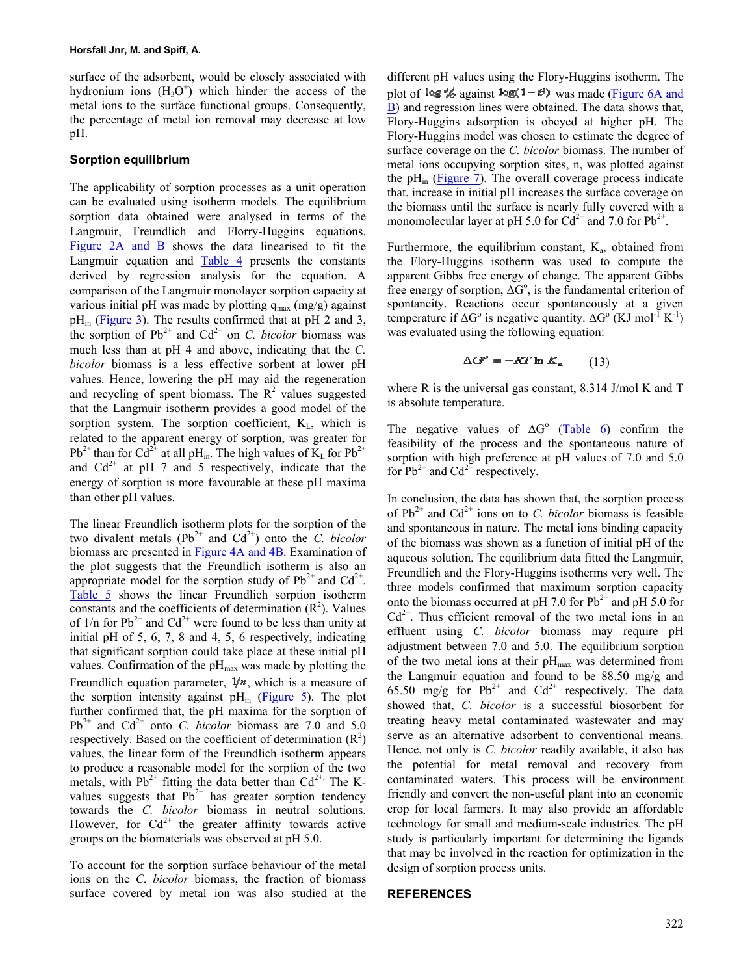surface of the adsorbent, would be closely associated with hydronium ions  $(H<sub>3</sub>O<sup>+</sup>)$  which hinder the access of the metal ions to the surface functional groups. Consequently, the percentage of metal ion removal may decrease at low pH.

### **Sorption equilibrium**

The applicability of sorption processes as a unit operation can be evaluated using isotherm models. The equilibrium sorption data obtained were analysed in terms of the Langmuir, Freundlich and Florry-Huggins equations. Figure 2A and B shows the data linearised to fit the Langmuir equation and  $Table 4$  presents the constants derived by regression analysis for the equation. A comparison of the Langmuir monolayer sorption capacity at various initial pH was made by plotting  $q_{max}$  (mg/g) against  $pH_{in}$  (Figure 3). The results confirmed that at pH 2 and 3, the sorption of  $Pb^{2+}$  and  $Cd^{2+}$  on *C. bicolor* biomass was much less than at pH 4 and above, indicating that the *C. bicolor* biomass is a less effective sorbent at lower pH values. Hence, lowering the pH may aid the regeneration and recycling of spent biomass. The  $\mathbb{R}^2$  values suggested that the Langmuir isotherm provides a good model of the sorption system. The sorption coefficient,  $K<sub>L</sub>$ , which is related to the apparent energy of sorption, was greater for  $Pb^{2+}$  than for Cd<sup>2+</sup> at all pH<sub>in</sub>. The high values of K<sub>L</sub> for Pb<sup>2+</sup> and  $Cd^{2+}$  at pH 7 and 5 respectively, indicate that the energy of sorption is more favourable at these pH maxima than other pH values.

The linear Freundlich isotherm plots for the sorption of the two divalent metals  $(Pb^{2+}$  and  $Cd^{2+}$ ) onto the *C. bicolor* biomass are presented in Figure 4A and 4B. Examination of the plot suggests that the Freundlich isotherm is also an appropriate model for the sorption study of  $Pb^{2+}$  and  $Cd^{2+}$ . Table 5 shows the linear Freundlich sorption isotherm constants and the coefficients of determination  $(R^2)$ . Values of  $1/n$  for Pb<sup>2+</sup> and Cd<sup>2+</sup> were found to be less than unity at initial pH of 5, 6, 7, 8 and 4, 5, 6 respectively, indicating that significant sorption could take place at these initial pH values. Confirmation of the  $pH_{\text{max}}$  was made by plotting the Freundlich equation parameter,  $1/n$ , which is a measure of the sorption intensity against  $pH_{in}$  (Figure 5). The plot further confirmed that, the pH maxima for the sorption of  $Pb^{2+}$  and  $Cd^{2+}$  onto *C. bicolor* biomass are 7.0 and 5.0 respectively. Based on the coefficient of determination  $(R^2)$ values, the linear form of the Freundlich isotherm appears to produce a reasonable model for the sorption of the two metals, with  $Pb^{2+}$  fitting the data better than  $Cd^{2+}$ . The Kvalues suggests that  $Pb^{2+}$  has greater sorption tendency towards the *C. bicolor* biomass in neutral solutions. However, for  $Cd^{2+}$  the greater affinity towards active groups on the biomaterials was observed at pH 5.0.

To account for the sorption surface behaviour of the metal ions on the *C. bicolor* biomass, the fraction of biomass surface covered by metal ion was also studied at the

different pH values using the Flory-Huggins isotherm. The plot of  $\log k$  against  $\log(1-\theta)$  was made (Figure 6A and B) and regression lines were obtained. The data shows that, Flory-Huggins adsorption is obeyed at higher pH. The Flory-Huggins model was chosen to estimate the degree of surface coverage on the *C. bicolor* biomass. The number of metal ions occupying sorption sites, n, was plotted against the pH<sub>in</sub> (Figure 7). The overall coverage process indicate that, increase in initial pH increases the surface coverage on the biomass until the surface is nearly fully covered with a monomolecular layer at pH 5.0 for  $Cd^{2+}$  and 7.0 for Pb<sup>2+</sup>.

Furthermore, the equilibrium constant,  $K_a$ , obtained from the Flory-Huggins isotherm was used to compute the apparent Gibbs free energy of change. The apparent Gibbs free energy of sorption,  $\Delta G^{\circ}$ , is the fundamental criterion of spontaneity. Reactions occur spontaneously at a given temperature if  $\Delta G^{\circ}$  is negative quantity.  $\Delta G^{\circ}$  (KJ mol<sup>-1</sup> K<sup>-1</sup>) was evaluated using the following equation:

$$
\Delta G^{\rho} = -RT \ln K_a \qquad (13)
$$

where R is the universal gas constant, 8.314 J/mol K and T is absolute temperature.

The negative values of  $\Delta G^{\circ}$  (Table 6) confirm the feasibility of the process and the spontaneous nature of sorption with high preference at pH values of 7.0 and 5.0 for  $Pb^{2+}$  and  $Cd^{2+}$  respectively.

In conclusion, the data has shown that, the sorption process of  $Pb^{2+}$  and  $Cd^{2+}$  ions on to *C. bicolor* biomass is feasible and spontaneous in nature. The metal ions binding capacity of the biomass was shown as a function of initial pH of the aqueous solution. The equilibrium data fitted the Langmuir, Freundlich and the Flory-Huggins isotherms very well. The three models confirmed that maximum sorption capacity onto the biomass occurred at pH 7.0 for  $Pb^{2+}$  and pH 5.0 for  $Cd<sup>2+</sup>$ . Thus efficient removal of the two metal ions in an effluent using *C. bicolor* biomass may require pH adjustment between 7.0 and 5.0. The equilibrium sorption of the two metal ions at their  $pH_{\text{max}}$  was determined from the Langmuir equation and found to be  $88.50 \text{ mg/g}$  and 65.50 mg/g for  $Pb^{2+}$  and  $Cd^{2+}$  respectively. The data showed that, *C. bicolor* is a successful biosorbent for treating heavy metal contaminated wastewater and may serve as an alternative adsorbent to conventional means. Hence, not only is *C. bicolor* readily available, it also has the potential for metal removal and recovery from contaminated waters. This process will be environment friendly and convert the non-useful plant into an economic crop for local farmers. It may also provide an affordable technology for small and medium-scale industries. The pH study is particularly important for determining the ligands that may be involved in the reaction for optimization in the design of sorption process units.

## **REFERENCES**